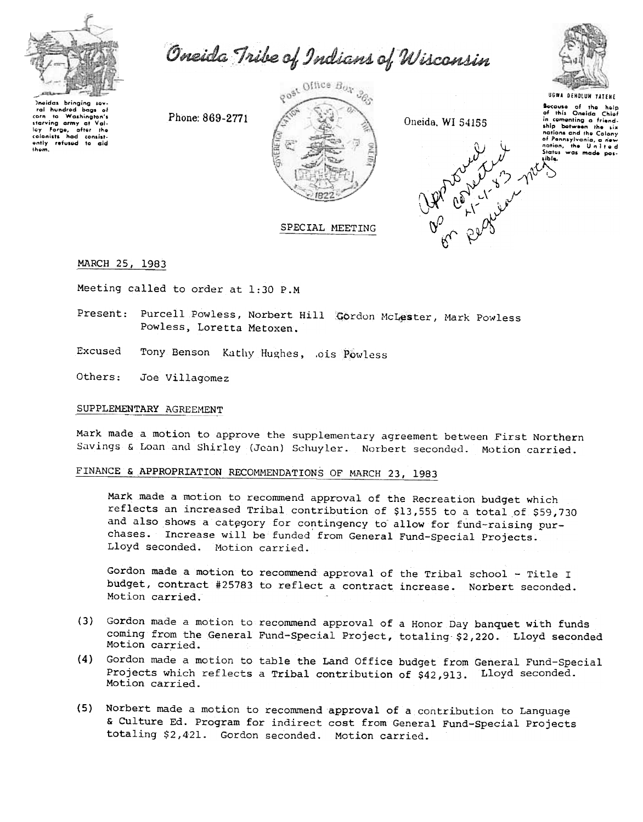

Oneida Tribe of Indians of Wisconsin



Incidas bringing sov hundrod  $b<sub>0</sub>$ ta Washington's corn starving army at loy Forge, after the<br>colonists had consist-<br>ently refused to aid thom.

Phone: 869-2771



Oneida, WI 54155

UGWA DEHOLUM YATEME Socause of the help<br>of this Oneida Chief in comenting a friendnations and the Colony nations and the current<br>of Pennsylvania, a new<br>nation, the United<br>Status was made pos-Prophety of the state

SPECIAL MEETING

MARCH 25, 1983

Meeting called to order at 1:30 P.M

Present: Purcell Powless, Norbert Hill Gordon McLester, Mark Powless Powless, Loretta Metoxen.

Excused Tony Benson Kathy Hughes, ois Powless

Others: Joe Villagomez

# SUPPLEMENTARY AGREEMENT

Mark made a motion to approve the supplementary agreement between First Northern Savings & Loan and Shirley (Jean) Schuyler. Norbert seconded. Motion carried.

# FINANCE & APPROPRIATION RECOMMENDATIONS OF MARCH 23, 1983

Mark made a motion to recommend approval of the Recreation budget which reflects an increased Tribal contribution of \$13,555 to a total of \$59,730 and also shows a category for contingency to allow for fund-raising purchases. Increase will be funded from General Fund-Special Projects. Lloyd seconded. Motion carried.

Gordon made a motion to recommend approval of the Tribal school - Title I budget, contract #25783 to reflect a contract increase. Norbert seconded. Motion carried.

- (3) Gordon made a motion to recommend approval of a Honor Day banquet with funds coming from the General Fund-Special Project, totaling \$2,220. Lloyd seconded Motion carried.
- (4) Gordon made a motion to table the Land Office budget from General Fund-Special Projects which reflects a Tribal contribution of \$42,913. Lloyd seconded. Motion carried.
- (5) Norbert made a motion to recommend approval of a contribution to Language & Culture Ed. Program for indirect cost from General Fund-Special Projects totaling \$2,421. Gordon seconded. Motion carried.